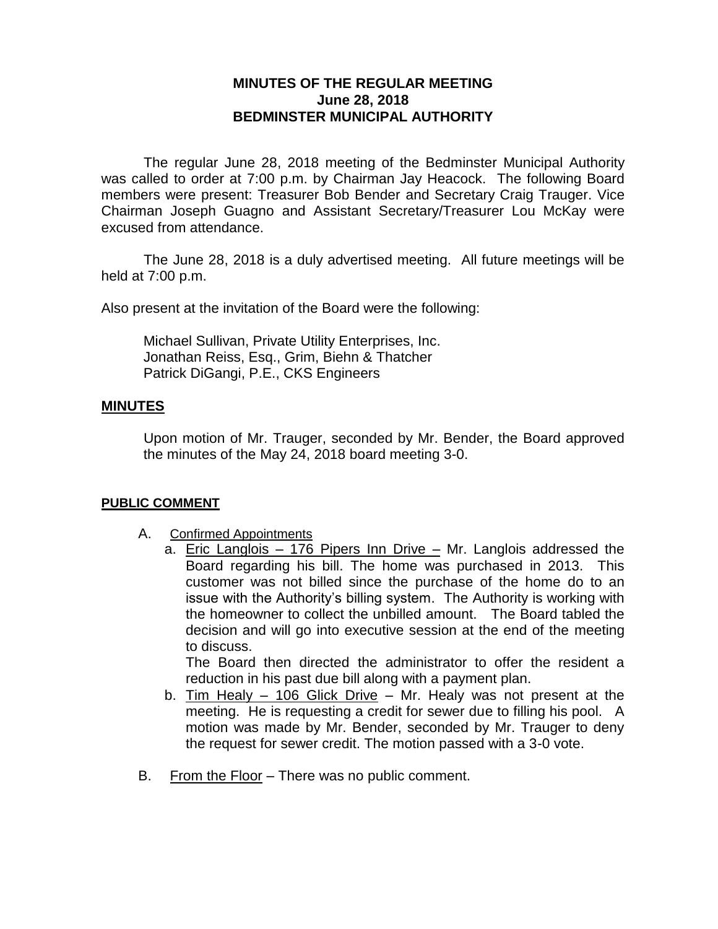# **MINUTES OF THE REGULAR MEETING June 28, 2018 BEDMINSTER MUNICIPAL AUTHORITY**

The regular June 28, 2018 meeting of the Bedminster Municipal Authority was called to order at 7:00 p.m. by Chairman Jay Heacock. The following Board members were present: Treasurer Bob Bender and Secretary Craig Trauger. Vice Chairman Joseph Guagno and Assistant Secretary/Treasurer Lou McKay were excused from attendance.

The June 28, 2018 is a duly advertised meeting. All future meetings will be held at 7:00 p.m.

Also present at the invitation of the Board were the following:

Michael Sullivan, Private Utility Enterprises, Inc. Jonathan Reiss, Esq., Grim, Biehn & Thatcher Patrick DiGangi, P.E., CKS Engineers

#### **MINUTES**

Upon motion of Mr. Trauger, seconded by Mr. Bender, the Board approved the minutes of the May 24, 2018 board meeting 3-0.

#### **PUBLIC COMMENT**

- A. Confirmed Appointments
	- a. Eric Langlois 176 Pipers Inn Drive Mr. Langlois addressed the Board regarding his bill. The home was purchased in 2013. This customer was not billed since the purchase of the home do to an issue with the Authority's billing system. The Authority is working with the homeowner to collect the unbilled amount. The Board tabled the decision and will go into executive session at the end of the meeting to discuss.

The Board then directed the administrator to offer the resident a reduction in his past due bill along with a payment plan.

- b. Tim Healy 106 Glick Drive Mr. Healy was not present at the meeting. He is requesting a credit for sewer due to filling his pool. A motion was made by Mr. Bender, seconded by Mr. Trauger to deny the request for sewer credit. The motion passed with a 3-0 vote.
- B. From the Floor There was no public comment.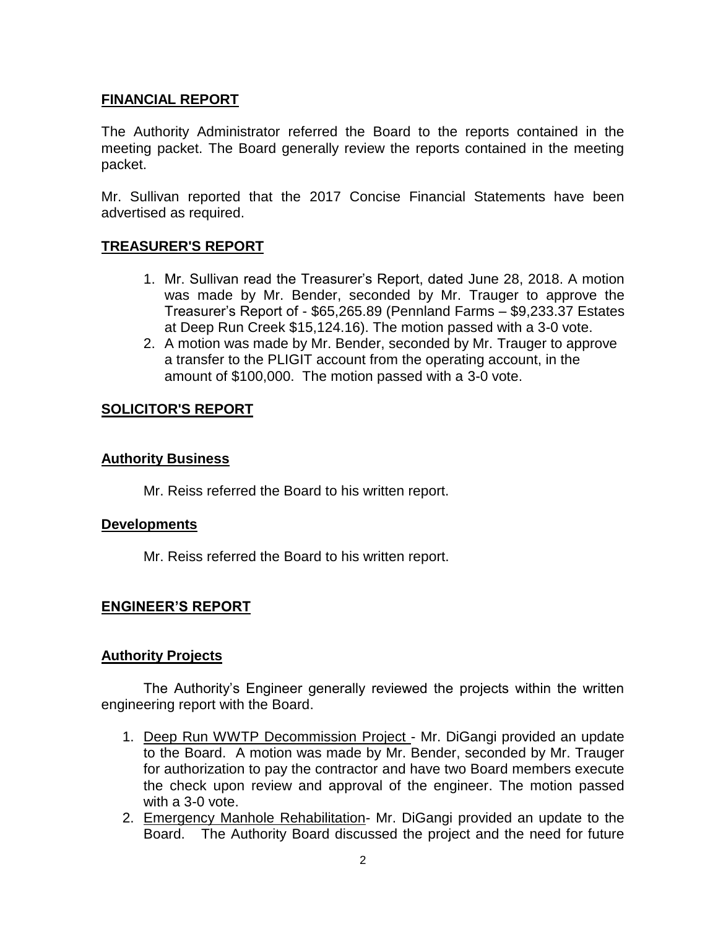# **FINANCIAL REPORT**

The Authority Administrator referred the Board to the reports contained in the meeting packet. The Board generally review the reports contained in the meeting packet.

Mr. Sullivan reported that the 2017 Concise Financial Statements have been advertised as required.

# **TREASURER'S REPORT**

- 1. Mr. Sullivan read the Treasurer's Report, dated June 28, 2018. A motion was made by Mr. Bender, seconded by Mr. Trauger to approve the Treasurer's Report of - \$65,265.89 (Pennland Farms – \$9,233.37 Estates at Deep Run Creek \$15,124.16). The motion passed with a 3-0 vote.
- 2. A motion was made by Mr. Bender, seconded by Mr. Trauger to approve a transfer to the PLIGIT account from the operating account, in the amount of \$100,000. The motion passed with a 3-0 vote.

# **SOLICITOR'S REPORT**

### **Authority Business**

Mr. Reiss referred the Board to his written report.

#### **Developments**

Mr. Reiss referred the Board to his written report.

# **ENGINEER'S REPORT**

# **Authority Projects**

The Authority's Engineer generally reviewed the projects within the written engineering report with the Board.

- 1. Deep Run WWTP Decommission Project Mr. DiGangi provided an update to the Board. A motion was made by Mr. Bender, seconded by Mr. Trauger for authorization to pay the contractor and have two Board members execute the check upon review and approval of the engineer. The motion passed with a 3-0 vote.
- 2. Emergency Manhole Rehabilitation- Mr. DiGangi provided an update to the Board. The Authority Board discussed the project and the need for future